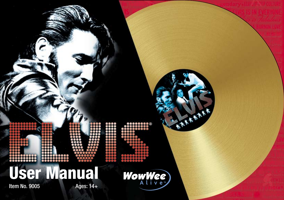|               |           | ARAAA<br>88 ®      |  |
|---------------|-----------|--------------------|--|
|               |           |                    |  |
| Item No. 9005 | Ages: 14+ | User Manual WowWee |  |
|               |           |                    |  |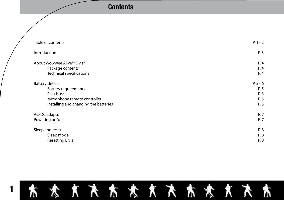# **Contents Contents**

| Table of contents                     | $P. 1 - 2$ |
|---------------------------------------|------------|
| Introduction                          | P. 3       |
| About Wowwee Alive™ Elvis®            | P. 4       |
| Package contents                      | P. 4       |
| Technical specifications              | P. 4       |
| <b>Battery details</b>                | $P.5 - 6$  |
| <b>Battery requirements</b>           | P. 5       |
| Elvis bust                            | P. 5       |
| Microphone remote controller          | P. 5       |
| Installing and changing the batteries | P. 5       |
| AC/DC adaptor                         | P. 7       |
| Powering on/off                       | P. 7       |
| Sleep and reset                       | P. 8       |
| Sleep mode                            | P. 8       |
| <b>Resetting Elvis</b>                | P. 8       |
|                                       |            |

# 1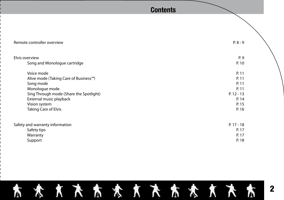# **Contents**

| Remote controller overview              | $P.8 - 9$    |
|-----------------------------------------|--------------|
| Elvis overview                          | P. 9         |
| Song and Monologue cartridge            | P. 10        |
| Voice mode                              | P. 11        |
| Alive mode (Taking Care of Business™)   | P. 11        |
| Song mode                               | P. 11        |
| Monologue mode                          | P. 11        |
| Sing Through mode (Share the Spotlight) | $P. 12 - 13$ |
| External music playback                 | P. 14        |
| Vision system                           | P. 15        |
| Taking Care of Elvis                    | P. 16        |
| Safety and warranty information         | $P. 17 - 18$ |
| Safety tips                             | P. 17        |
| Warranty                                | P. 17        |
| Support                                 | P. 18        |

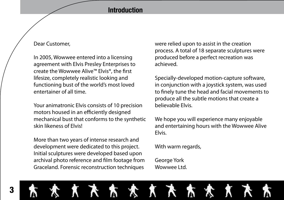# **Introduction**

# Dear Customer,

In 2005, Wowwee entered into a licensing agreement with Elvis Presley Enterprises to create the Wowwee Alive™ Elvis®, the first lifesize, completely realistic looking and functioning bust of the world's most loved entertainer of all time.

Your animatronic Elvis consists of 10 precision motors housed in an efficiently designed mechanical bust that conforms to the synthetic skin likeness of Elvis!

More than two years of intense research and development were dedicated to this project. Initial sculptures were developed based upon archival photo reference and film footage from Graceland. Forensic reconstruction techniques

were relied upon to assist in the creation process. A total of 18 separate sculptures were produced before a perfect recreation was achieved.

Specially-developed motion-capture software, in conjunction with a joystick system, was used to finely tune the head and facial movements to produce all the subtle motions that create a believable Elvis.

We hope you will experience many enjoyable and entertaining hours with the Wowwee Alive Elvis.

With warm regards,

George York Wowwee Ltd.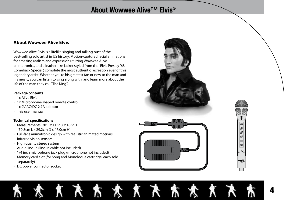# **About Wowwee Alive™ Elvis®**

太太太太太太太

## **About Wowwee Alive Elvis**

Wowwee Alive Elvis is a lifelike singing and talking bust of the best-selling solo artist in US history. Motion-captured facial animations for amazing realism and expression utilizing Wowwee Alive animatronics, and a leather-like jacket styled from the "Elvis Presley '68 Comeback Special", complete the most authentic recreation ever of this legendary artist. Whether you're his greatest fan or new to the man and his music, you can listen to, sing along with, and learn more about the life of the man they call "The King".

#### **Package contents**

- 1x Alive Elvis
- 1x Microphone-shaped remote control
- 1x 9V AC/DC 2.7A adaptor
- This user manual

### **Technical specifications**

- Measurements: 20"L x 11.5"D x 18.5"H (50.8cm L x 29.2cm D x 47.0cm H)
- Full-face animatronic design with realistic animated motions
- Infrared vision sensors
- High quality stereo system
- Audio line-in (line-in cable not included)
- 1/4 inch microphone jack plug (microphone not included)

λ

- Memory card slot (for Song and Monologue cartridge, each sold separately)
- DC power connector socket



X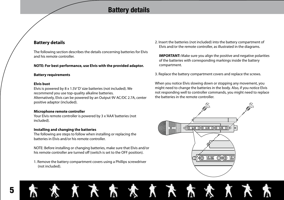# **Battery details**

## **Battery details**

The following section describes the details concerning batteries for Elvis and his remote controller.

#### **NOTE: For best performance, use Elvis with the provided adaptor.**

#### **Battery requirements**

#### **Elvis bust**

Elvis is powered by 8 x 1.5V 'D' size batteries (not included). We recommend you use top-quality alkaline batteries. Alternatively, Elvis can be powered by an Output 9V AC/DC 2.7A, center positive adaptor (included).

#### **Microphone remote controller**

Your Elvis remote controller is powered by 3 x 'AAA' batteries (not included).

#### **Installing and changing the batteries**

The following are steps to follow when installing or replacing the batteries in Elvis and/or his remote controller.

NOTE: Before installing or changing batteries, make sure that Elvis and/or his remote controller are turned off (switch is set to the OFF position).

1. Remove the battery compartment covers using a Phillips screwdriver (not included).

λ

2. Insert the batteries (not included) into the battery compartment of Elvis and/or the remote controller, as illustrated in the diagrams.

**IMPORTANT:** Make sure you align the positive and negative polarities of the batteries with corresponding markings inside the battery compartment.

3. Replace the battery compartment covers and replace the screws.

When you notice Elvis slowing down or stopping any movement, you might need to change the batteries in the body. Also, if you notice Elvis not responding well to controller commands, you might need to replace the batteries in the remote controller.

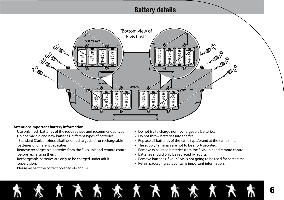# **Battery details**



#### **Attention: important battery information**

- Use only fresh batteries of the required size and recommended type.
- Do not mix old and new batteries, different types of batteries (Standard (Carbon zinc), alkaline, or rechargeable), or rechargeable batteries of different capacities.
- Remove rechargeable batteries from the Elvis unit and remote control before recharging them.
- Rechargeable batteries are only to be charged under adult supervision.
- Please respect the correct polarity,  $(+)$  and  $(-)$ .
- Do not try to charge non-rechargeable batteries.
- Do not throw batteries into the fire.
- Replace all batteries of the same type/brand at the same time.
- The supply terminals are not to be short-circuited.
- Remove exhausted batteries from the Elvis unit and remote control.
- Batteries should only be replaced by adults.
- Remove batteries if your Elvis is not going to be used for some time.
- Retain packaging as it contains important information.

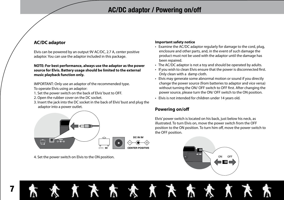# **AC/DC adaptor / Powering on/off**

## **AC/DC adaptor**

7

Elvis can be powered by an output 9V AC/DC, 2.7 A, center positive adaptor. You can use the adaptor included in this package.

#### **NOTE: For best performance, always use the adaptor as the power source for Elvis. Battery usage should be limited to the external music playback function only.**

IMPORTANT: Only use an adaptor of the recommended type. To operate Elvis using an adaptor:

- 
- 1. Set the power switch on the back of Elvis' bust to OFF.
- 2. Open the rubber cover on the DC socket.
- 3. Insert the jack into the DC socket in the back of Elvis' bust and plug the adaptor into a power outlet.



λ

 $\chi$ 

4. Set the power switch on Elvis to the ON position.

## **Important safety notice**

- Examine the AC/DC adaptor regularly for damage to the cord, plug, enclosure and other parts, and, in the event of such damage the product must not be used with the adaptor until the damage has been repaired.
- The AC/DC adaptor is not a toy and should be operated by adults.
- If you wish to clean Elvis ensure that the power is disconnected first. Only clean with a damp cloth.
- Elvis may generate some abnormal motion or sound if you directly change the power source (from batteries to adaptor and vice versa) without turning the ON/ OFF switch to OFF first. After changing the power source, please turn the ON/ OFF switch to the ON position.
- Elvis is not intended for children under 14 years old.

## **Powering on/off**

Elvis' power switch is located on his back, just below his neck, as illustrated. To turn Elvis on, move the power switch from the OFF position to the ON position. To turn him off, move the power switch to the OFF position.

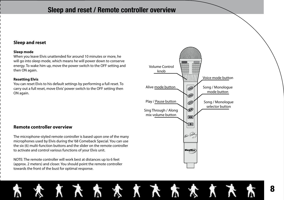# **Sleep and reset / Remote controller overview**

## **Sleep and reset**

#### **Sleep mode**

When you leave Elvis unattended for around 10 minutes or more, he will go into sleep mode, which means he will power down to conserve energy. To wake him up, move the power switch to the OFF setting and then ON again.

#### **Resetting Elvis**

You can reset Elvis to his default settings by performing a full reset. To carry out a full reset, move Elvis' power switch to the OFF setting then ON again.



The microphone-styled remote controller is based upon one of the many microphones used by Elvis during the '68 Comeback Special. You can use the six (6) multi-function buttons and the slider on the remote controller to activate and control various functions of your Elvis unit.

NOTE: The remote controller will work best at distances up to 6 feet (approx. 2 meters) and closer. You should point the remote controller towards the front of the bust for optimal response.



**K K X X X X X X X X**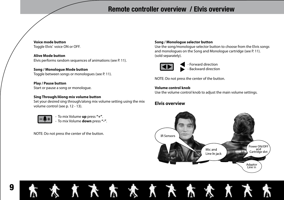# **Remote controller overview / Elvis overview**

**Voice mode button** Toggle Elvis' voice ON or OFF.

**Alive Mode button** Elvis performs random sequences of animations (see P. 11).

**Song / Monologue Mode button** Toggle between songs or monologues (see P. 11).

**Play / Pause button** Start or pause a song or monologue.

#### **Sing Through/Along mix volume button**

Set your desired sing through/along mix volume setting using the mix volume control (see p. 12 - 13).



- To mix Volume **up** press **"+"**. - To mix Volume **down** press **"-"**.

NOTE: Do not press the center of the button.

 $\chi$ 

#### **Song / Monologue selector button**

Use the song/monologue selector button to choose from the Elvis songs and monologues on the Song and Monologue cartridge (see P. 11). (sold separately).



Forward direction Backward direction

NOTE: Do not press the center of the button.

#### **Volume control knob**

Use the volume control knob to adjust the main volume settings.

## **Elvis overview**

**KARRI** 



**K** 

λ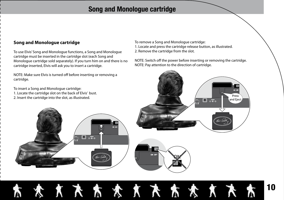# **Song and Monologue cartridge**

## **Song and Monologue cartridge**

To use Elvis' Song and Monologue functions, a Song and Monologue cartridge must be inserted in the cartridge slot (each Song and Monologue cartridge sold separately). If you turn him on and there is no cartridge inserted, Elvis will ask you to insert a cartridge.

 $\overline{\bullet|_{\diamondsuit\bullet\bullet}}$ 

NOTE: Make sure Elvis is turned off before inserting or removing a cartridge.

To insert a Song and Monologue cartridge:

- 1. Locate the cartridge slot on the back of Elvis' bust.
- 2. Insert the cartridge into the slot, as illustrated.

To remove a Song and Monologue cartridge: 1. Locate and press the cartridge release button, as illustrated. 2. Remove the cartridge from the slot.

NOTE: Switch off the power before inserting or removing the cartridge. NOTE: Pay attention to the direction of cartridge.



## 10**\* \* \* \* \* \* \* \* \* \* \*** λ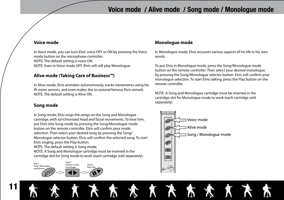# **Voice mode / Alive mode / Song mode / Monologue mode**

## **Voice mode**

In Voice mode, you can turn Elvis' voice OFF or ON by pressing the Voice mode button on the microphone controller. NOTE: The default setting is voice ON. NOTE: Even in Voice mode OFF, Elvis will still play Monologue.

## **Alive mode (Taking Care of Business™)**

In Alive mode, Elvis animates autonomously, tracks movements using his IR vision sensors, and even makes the occasional famous Elvis remark. NOTE: The default setting is Alive ON.

## **Song mode**

11

In Song mode, Elvis sings the songs on the Song and Monologue cartridge, with synchronized head and facial movements. To hear him, put Elvis into Song mode by pressing the Song/Monologue mode button on the remote controller. Elvis will confirm your mode selection. Then select your desired song by pressing the Song/ Monologue selector button. Elvis will confirm the selected song. To start Elvis singing, press the Play button.

NOTE: The default setting is Song mode.

NOTE: A Song and Monologue cartridge must be inserted in the cartridge slot for Song mode to work (each cartridge sold separately).



## **Monologue mode**

In Monologue mode, Elvis recounts various aspects of his life in his own words.

To put Elvis in Monologue mode, press the Song/Monologue mode button on the remote controller. Then select your desired monologue by pressing the Song/Monologue selector button. Elvis will confirm your monologue selection. To start Elvis talking, press the Play button on the remote controller.

NOTE: A Song and Monologue cartridge must be inserted in the cartridge slot for Monologue mode to work (each cartridge sold separately).

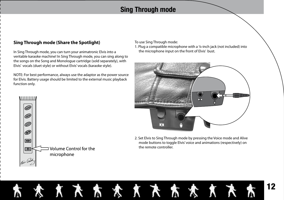# **Sing Through mode**

## **Sing Through mode (Share the Spotlight)**

In Sing Through mode, you can turn your animatronic Elvis into a veritable karaoke machine! In Sing Through mode, you can sing along to the songs on the Song and Monologue cartridge (sold separately), with Elvis' vocals (duet style) or without Elvis' vocals (karaoke style).

NOTE: For best performance, always use the adaptor as the power source for Elvis. Battery usage should be limited to the external music playback function only.



1. Plug a compatible microphone with a ¼-inch jack (not included) into the microphone input on the front of Elvis' bust.



2. Set Elvis to Sing Through mode by pressing the Voice mode and Alive mode buttons to toggle Elvis' voice and animations (respectively) on the remote controller.



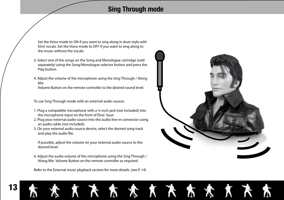# **Sing Through mode**

大大太太大太太太

Set the Voice mode to ON if you want to sing along in duet-style with Elvis' vocals. Set the Voice mode to OFF if you want to sing along to the music without the vocals.

- 3. Select one of the songs on the Song and Monologue cartridge (sold separately) using the Song/Monologue selector button and press the Play button.
- 4. Adjust the volume of the microphone using the Sing Through / Along Mix

Volume Button on the remote controller to the desired sound level.

To use Sing Through mode with an external audio source:

- 1. Plug a compatible microphone with a ¼-inch jack (not included) into the microphone input on the front of Elvis' bust.
- 2. Plug your external audio source into the audio line-in connector using an audio cable (not included).
- 3. On your external audio source device, select the desired song track and play the audio file.

If possible, adjust the volume on your external audio source to the desired level.

4. Adjust the audio volume of the microphone using the Sing Through / Along Mix Volume Button on the remote controller as required.

Refer to the External music playback section for more details. (see P. 14)

Ñ



# 13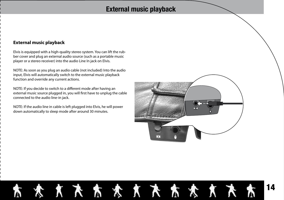# **External music playback**

## **External music playback**

Elvis is equipped with a high-quality stereo system. You can lift the rubber cover and plug an external audio source (such as a portable music player or a stereo receiver) into the audio Line In jack on Elvis.

NOTE: As soon as you plug an audio cable (not included) Into the audio input, Elvis will automatically switch to the external music playback function and override any current actions.

NOTE: If you decide to switch to a different mode after having an external music source plugged in, you will first have to unplug the cable connected to the audio line-in jack.

NOTE: If the audio line in cable is left plugged into Elvis, he will power down automatically to sleep mode after around 30 minutes.



# **唐天天太太太太太太太太太太** 14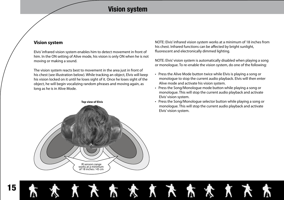# **Vision system**

Ñ

X

## **Vision system**

Elvis' infrared vision system enables him to detect movement in front of him. In the ON setting of Alive mode, his vision is only ON when he is not moving or making a sound.

The vision system reacts best to movement in the area just in front of his chest (see illustration below). While tracking an object, Elvis will keep his vision locked on it until he loses sight of it. Once he loses sight of the object, he will begin vocalizing random phrases and moving again, as long as he is in Alive Mode.



NOTE: Elvis' infrared vision system works at a minimum of 18 inches from his chest. Infrared functions can be affected by bright sunlight, fluorescent and electronically dimmed lighting.

NOTE: Elvis' vision system is automatically disabled when playing a song or monologue. To re-enable the vision system, do one of the following:

- Press the Alive Mode button twice while Elvis is playing a song or monologue to stop the current audio playback. Elvis will then enter Alive mode and activate his vision system.
- Press the Song/Monologue mode button while playing a song or monologue. This will stop the current audio playback and activate Elvis' vision system.
- Press the Song/Monologue selector button while playing a song or monologue. This will stop the current audio playback and activate Elvis' vision system.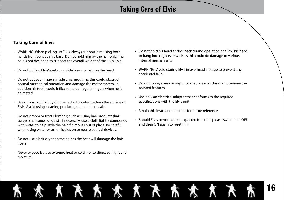# **Taking Care of Elvis**

## **Taking Care of Elvis**

- WARNING: When picking up Elvis, always support him using both hands from beneath his base. Do not hold him by the hair only. The hair is not designed to support the overall weight of the Elvis unit.
- Do not pull on Elvis' eyebrows, side burns or hair on the head.
- Do not put your fingers inside Elvis' mouth as this could obstruct normal mechanical operation and damage the motor system. In addition his teeth could inflict some damage to fingers when he is animated.
- Use only a cloth lightly dampened with water to clean the surface of Elvis. Avoid using cleaning products, soap or chemicals.
- Do not groom or treat Elvis' hair, such as using hair products (hairsprays, shampoos, or gels) . If necessary, use a cloth lightly dampened with water to help style the hair if it moves out of place. Be careful when using water or other liquids on or near electrical devices.
- Do not use a hair dryer on the hair as the heat will damage the hair fibers.
- Never expose Elvis to extreme heat or cold, nor to direct sunlight and moisture.
- Do not hold his head and/or neck during operation or allow his head to bang into objects or walls as this could do damage to various internal mechanisms.
- WARNING: Avoid storing Elvis in overhead storage to prevent any accidental falls.
- Do not rub eye area or any of colored areas as this might remove the painted features.
- Use only an electrical adaptor that conforms to the required specifications with the Elvis unit.
- Retain this instruction manual for future reference.
- Should Elvis perform an unexpected function, please switch him OFF and then ON again to reset him.

## 16天太太太天太太太 Ñ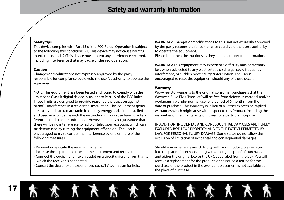#### **Safety tips**

This device complies with Part 15 of the FCC Rules. Operation is subject to the following two conditions: (1) This device may not cause harmful interference, and (2) This device must accept any interference received, including interference that may cause undesired operation.

#### **Caution**

Changes or modifications not expressly approved by the party responsible for compliance could void the user's authority to operate the equipment.

NOTE: This equipment has been tested and found to comply with the limits for a Class B digital device, pursuant to Part 15 of the FCC Rules. These limits are designed to provide reasonable protection against harmful interference in a residential installation. This equipment generates, uses and can radiate radio frequency energy and, if not installed and used in accordance with the instructions, may cause harmful interference to radio communications. However, there is no guarantee that there will be no interference to radio or television reception, which can be determined by turning the equipment off and on. The user is encouraged to try to correct the interference by one or more of the following measures:

- Reorient or relocate the receiving antenna.
- Increase the separation between the equipment and receiver.
- Connect the equipment into an outlet on a circuit different from that to which the receiver is connected.
- Consult the dealer or an experienced radio/TV technician for help.

**WARNING:** Changes or modifications to this unit not expressly approved by the party responsible for compliance could void the user's authority to operate the equipment.

Please keep these instructions as they contain important information.

**WARNING:** This equipment may experience difficulty and/or memory loss when subjected to any electrostatic discharge, radio frequency interference, or sudden power surge/interruption. The user is encouraged to reset the equipment should any of these occur.

#### **Warranty**

Wowwee Ltd. warrants to the original consumer purchasers that the Wowwee Alive Elvis "Product" will be free from defects in material and/or workmanship under normal use for a period of 6 months from the date of purchase. This Warranty is in lieu of all other express or implied warranties which might arise with respect to this Product, including the warranties of merchantability of fitness for a particular purpose.

IN ADDITION, INCIDENTAL AND CONSEQUENTIAL DAMAGES ARE HEREBY EXCLUDED BOTH FOR PROPERTY AND TO THE EXTENT PERMITTED BY LAW, FOR PERSONAL INJURY DAMAGE. Some states do not allow the exclusion of limitation of incidental and consequential damages.

Should you experience any difficulty with your Product, please return it to the place of purchase, along with an original proof of purchase, and either the original box or the UPC code label from the box. You will receive a replacement for the product, or be issued a refund for the purchase of the product in the event a replacement is not available at the place of purchase.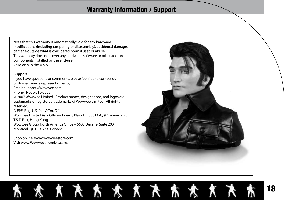# **Warranty information / Support**

\* \* \* \* \* \* \* \* \* \* \*

Note that this warranty is automatically void for any hardware modifications (including tampering or disassembly), accidental damage, damage outside what is considered normal user, or abuse. This warranty does not cover any hardware, software or other add-on components installed by the end-user. Valid only in the U.S.A.

#### **Support**

If you have questions or comments, please feel free to contact our customer service representatives by: Email: support@Wowwee.com Phone: 1-800-310-3033 @ 2007 Wowwee Limited. Product names, designations, and logos are trademarks or registered trademarks of Wowwee Limited. All rights reserved. © EPE, Reg. U.S. Pat. & Tm. Off. Wowwee Limited Asia Office – Energy Plaza Unit 301A-C, 92 Granville Rd, T.S.T. East, Hong Kong Wowwee Group North America Office – 6600 Decarie, Suite 200, Montreal, QC H3X 2K4, Canada

Shop online: www.wowweestore.com Visit www.Wowweealiveelvis.com.